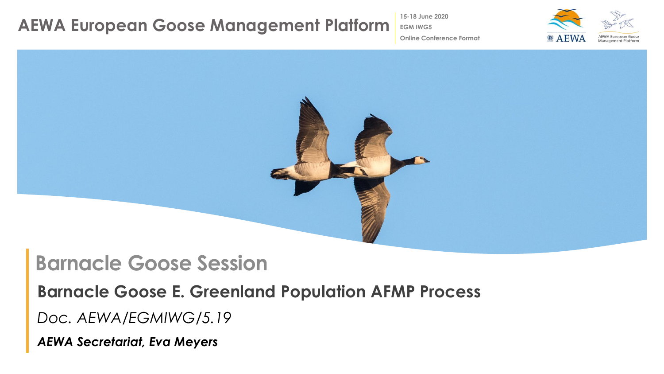**15-18 June 2020**

**EGM IWG5**



**Online Conference Format**



### **Barnacle Goose Session**

**Barnacle Goose E. Greenland Population AFMP Process**

*Doc. AEWA/EGMIWG/5.19*

*AEWA Secretariat, Eva Meyers*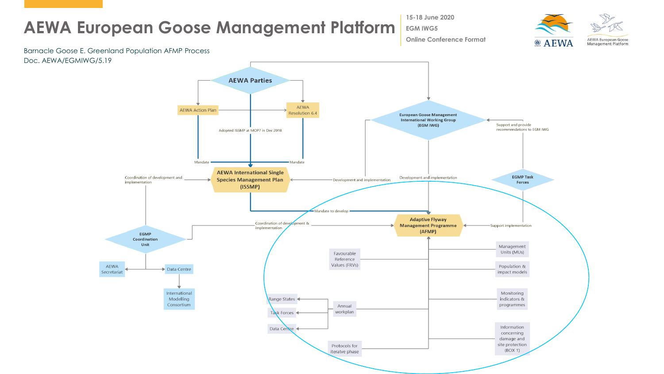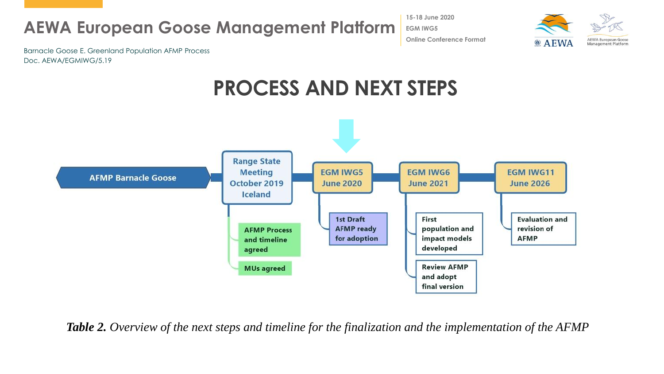**15-18 June 2020 EGM IWG5 Online Conference Format**



Barnacle Goose E. Greenland Population AFMP Process Doc. AEWA/EGMIWG/5.19

## **PROCESS AND NEXT STEPS**



*Table 2. Overview of the next steps and timeline for the finalization and the implementation of the AFMP*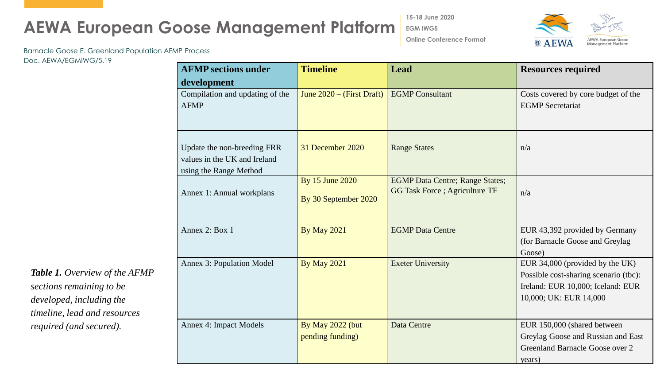**15-18 June 2020**

**EGM IWG5**



**Online Conference Format**

Barnacle Goose E. Greenland Population AFMP Process

Doc. AEWA/EGMIWG/5.19

| <b>AFMP</b> sections under                                                            | <b>Timeline</b>                         | Lead                                                                     | <b>Resources required</b>                                                                                                               |
|---------------------------------------------------------------------------------------|-----------------------------------------|--------------------------------------------------------------------------|-----------------------------------------------------------------------------------------------------------------------------------------|
| development                                                                           |                                         |                                                                          |                                                                                                                                         |
| Compilation and updating of the<br><b>AFMP</b>                                        | June $2020 -$ (First Draft)             | <b>EGMP</b> Consultant                                                   | Costs covered by core budget of the<br><b>EGMP</b> Secretariat                                                                          |
| Update the non-breeding FRR<br>values in the UK and Ireland<br>using the Range Method | 31 December 2020                        | <b>Range States</b>                                                      | n/a                                                                                                                                     |
| Annex 1: Annual workplans                                                             | By 15 June 2020<br>By 30 September 2020 | <b>EGMP Data Centre; Range States;</b><br>GG Task Force ; Agriculture TF | n/a                                                                                                                                     |
| Annex 2: Box 1                                                                        | <b>By May 2021</b>                      | <b>EGMP</b> Data Centre                                                  | EUR 43,392 provided by Germany<br>(for Barnacle Goose and Greylag<br>Goose)                                                             |
| <b>Annex 3: Population Model</b>                                                      | <b>By May 2021</b>                      | <b>Exeter University</b>                                                 | EUR 34,000 (provided by the UK)<br>Possible cost-sharing scenario (tbc):<br>Ireland: EUR 10,000; Iceland: EUR<br>10,000; UK: EUR 14,000 |
| <b>Annex 4: Impact Models</b>                                                         | By May 2022 (but<br>pending funding)    | Data Centre                                                              | EUR 150,000 (shared between<br>Greylag Goose and Russian and East<br>Greenland Barnacle Goose over 2<br>years)                          |

*Table 1. Overview of the AFMP sections remaining to be developed, including the timeline, lead and resources required (and secured).*